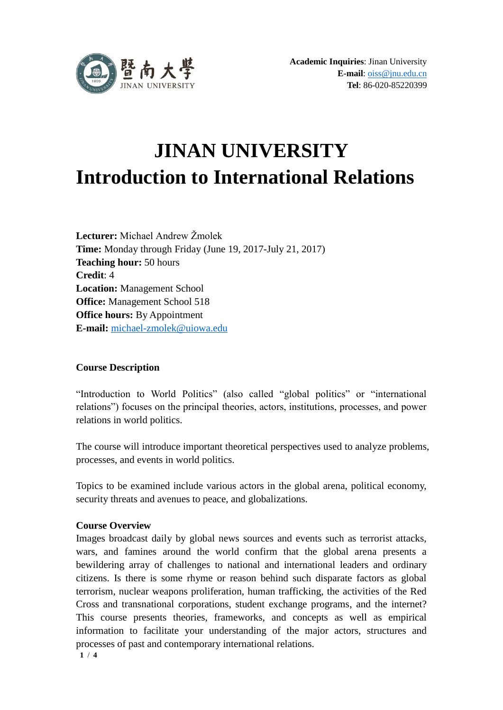

# **JINAN UNIVERSITY Introduction to International Relations**

**Lecturer:** Michael Andrew Žmolek **Time:** Monday through Friday (June 19, 2017-July 21, 2017) **Teaching hour:** 50 hours **Credit**: 4 **Location:** Management School **Office:** Management School 518 **Office hours:** By Appointment **E-mail:** [michael-zmolek@uiowa.edu](mailto:michael-zmolek@uiowa.edu)

# **Course Description**

"Introduction to World Politics" (also called "global politics" or "international relations") focuses on the principal theories, actors, institutions, processes, and power relations in world politics.

The course will introduce important theoretical perspectives used to analyze problems, processes, and events in world politics.

Topics to be examined include various actors in the global arena, political economy, security threats and avenues to peace, and globalizations.

# **Course Overview**

Images broadcast daily by global news sources and events such as terrorist attacks, wars, and famines around the world confirm that the global arena presents a bewildering array of challenges to national and international leaders and ordinary citizens. Is there is some rhyme or reason behind such disparate factors as global terrorism, nuclear weapons proliferation, human trafficking, the activities of the Red Cross and transnational corporations, student exchange programs, and the internet? This course presents theories, frameworks, and concepts as well as empirical information to facilitate your understanding of the major actors, structures and processes of past and contemporary international relations.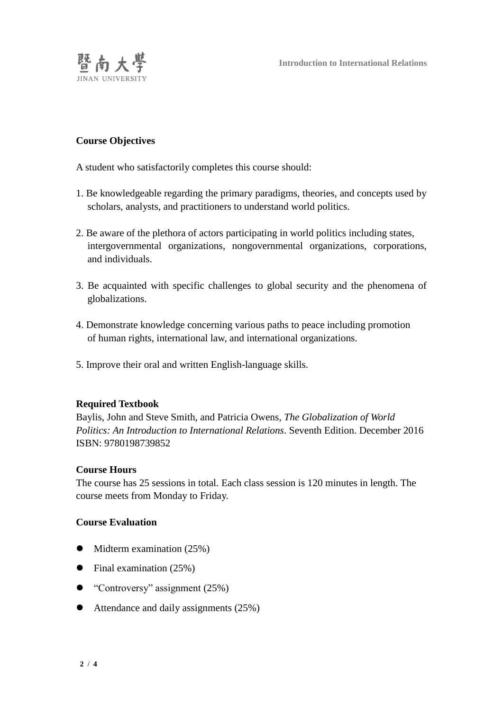

## **Course Objectives**

A student who satisfactorily completes this course should:

- 1. Be knowledgeable regarding the primary paradigms, theories, and concepts used by scholars, analysts, and practitioners to understand world politics.
- 2. Be aware of the plethora of actors participating in world politics including states, intergovernmental organizations, nongovernmental organizations, corporations, and individuals.
- 3. Be acquainted with specific challenges to global security and the phenomena of globalizations.
- 4. Demonstrate knowledge concerning various paths to peace including promotion of human rights, international law, and international organizations.
- 5. Improve their oral and written English-language skills.

### **Required Textbook**

Baylis, John and Steve Smith, and Patricia Owens, *The Globalization of World Politics: An Introduction to International Relations*. Seventh Edition. December 2016 ISBN: 9780198739852

### **Course Hours**

The course has 25 sessions in total. Each class session is 120 minutes in length. The course meets from Monday to Friday.

## **Course Evaluation**

- $\bullet$  Midterm examination (25%)
- $\bullet$  Final examination (25%)
- $\bullet$  "Controversy" assignment (25%)
- Attendance and daily assignments (25%)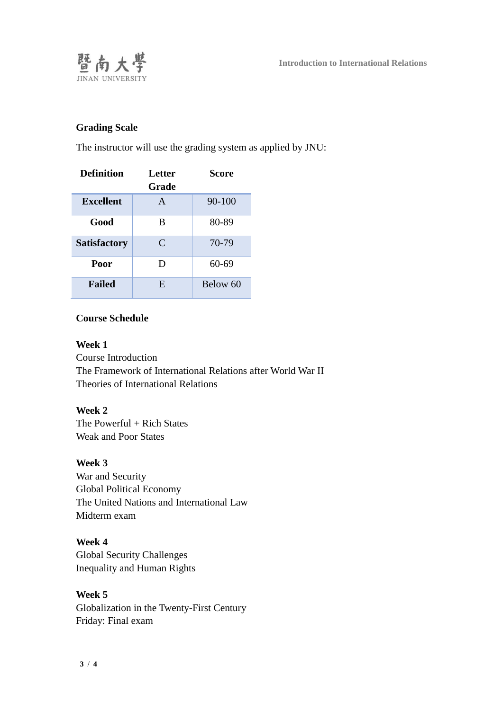

# **Grading Scale**

The instructor will use the grading system as applied by JNU:

| <b>Definition</b>   | <b>Letter</b><br>Grade | Score    |
|---------------------|------------------------|----------|
| <b>Excellent</b>    | A                      | 90-100   |
| Good                | B                      | 80-89    |
| <b>Satisfactory</b> | C                      | 70-79    |
| Poor                | D                      | 60-69    |
| <b>Failed</b>       | E                      | Below 60 |

## **Course Schedule**

**Week 1**  Course Introduction The Framework of International Relations after World War II Theories of International Relations

# **Week 2**

The Powerful + Rich States Weak and Poor States

## **Week 3**

War and Security Global Political Economy The United Nations and International Law Midterm exam

# **Week 4**

Global Security Challenges Inequality and Human Rights

# **Week 5**

Globalization in the Twenty-First Century Friday: Final exam